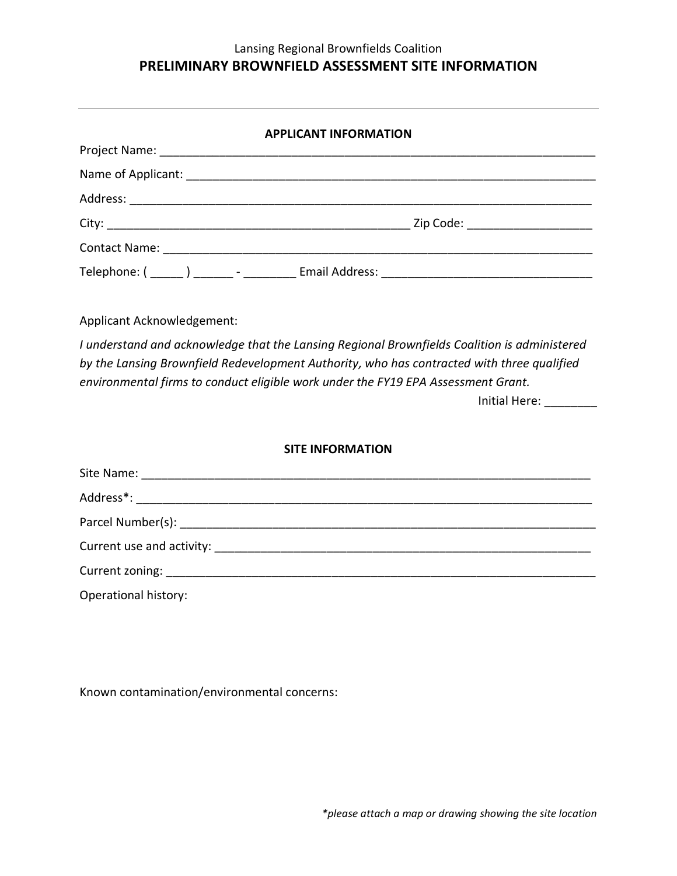## Lansing Regional Brownfields Coalition **PRELIMINARY BROWNFIELD ASSESSMENT SITE INFORMATION**

| <b>APPLICANT INFORMATION</b> |  |  |  |  |
|------------------------------|--|--|--|--|
|                              |  |  |  |  |
|                              |  |  |  |  |
|                              |  |  |  |  |
|                              |  |  |  |  |
|                              |  |  |  |  |
|                              |  |  |  |  |

Applicant Acknowledgement:

*I understand and acknowledge that the Lansing Regional Brownfields Coalition is administered by the Lansing Brownfield Redevelopment Authority, who has contracted with three qualified environmental firms to conduct eligible work under the FY19 EPA Assessment Grant.* 

Initial Here: \_\_\_\_\_\_\_\_

## **SITE INFORMATION**

| Operational history: |  |
|----------------------|--|

Known contamination/environmental concerns: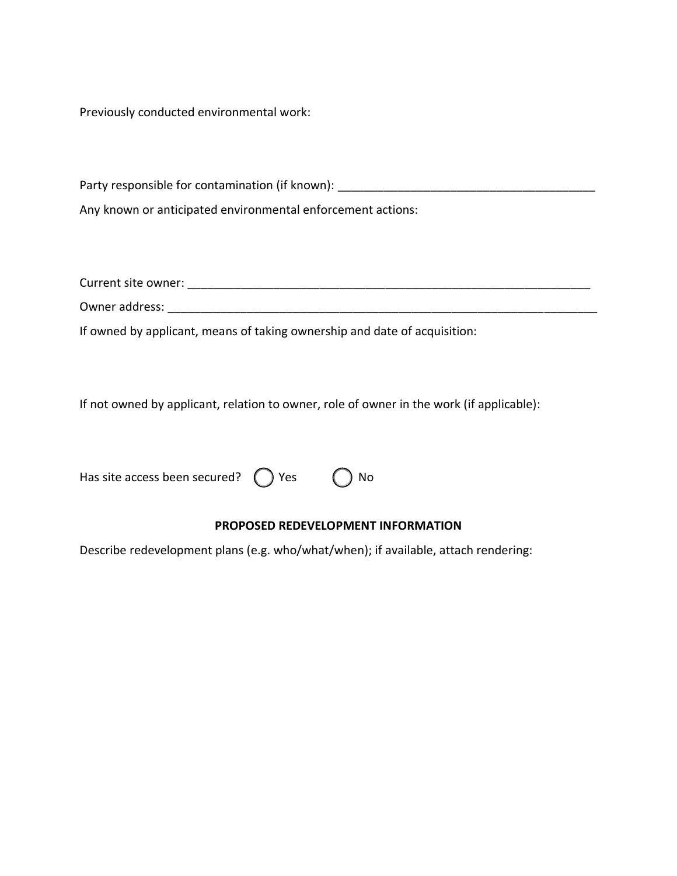Previously conducted environmental work:

Party responsible for contamination (if known): \_\_\_\_\_\_\_\_\_\_\_\_\_\_\_\_\_\_\_\_\_\_\_\_\_\_\_\_\_\_\_\_\_

Any known or anticipated environmental enforcement actions:

Current site owner: \_\_\_\_\_\_\_\_\_\_\_\_\_\_\_\_\_\_\_\_\_\_\_\_\_\_\_\_\_\_\_\_\_\_\_\_\_\_\_\_\_\_\_\_\_\_\_\_\_\_\_\_\_\_\_\_\_\_\_\_\_

Owner address: \_\_\_\_\_\_\_\_\_\_\_\_\_\_\_\_\_\_\_\_\_\_\_\_\_\_\_\_\_\_\_\_\_\_\_\_\_\_\_\_\_\_\_\_\_\_\_\_\_\_\_\_\_\_\_\_\_\_\_\_\_\_\_\_\_

If owned by applicant, means of taking ownership and date of acquisition:

If not owned by applicant, relation to owner, role of owner in the work (if applicable):

| Has site access been secured? $\bigcirc$ Yes | $\bigcirc$ No |
|----------------------------------------------|---------------|
|                                              |               |

## **PROPOSED REDEVELOPMENT INFORMATION**

Describe redevelopment plans (e.g. who/what/when); if available, attach rendering: